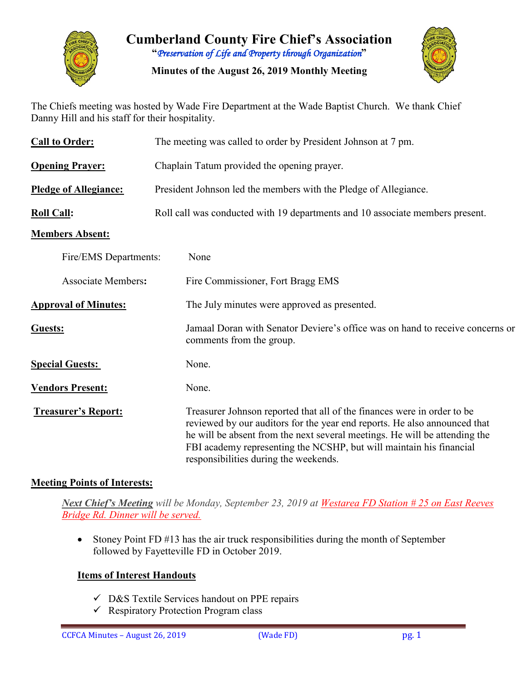

**Cumberland County Fire Chief's Association "***Preservation of Life and Property through Organization***"**

**Minutes of the August 26, 2019 Monthly Meeting**



The Chiefs meeting was hosted by Wade Fire Department at the Wade Baptist Church. We thank Chief Danny Hill and his staff for their hospitality.

| <b>Call to Order:</b>        | The meeting was called to order by President Johnson at 7 pm.                                                                                                                                                                                                                                                                                      |  |  |  |  |  |  |  |  |
|------------------------------|----------------------------------------------------------------------------------------------------------------------------------------------------------------------------------------------------------------------------------------------------------------------------------------------------------------------------------------------------|--|--|--|--|--|--|--|--|
| <b>Opening Prayer:</b>       | Chaplain Tatum provided the opening prayer.                                                                                                                                                                                                                                                                                                        |  |  |  |  |  |  |  |  |
| <b>Pledge of Allegiance:</b> | President Johnson led the members with the Pledge of Allegiance.                                                                                                                                                                                                                                                                                   |  |  |  |  |  |  |  |  |
| <b>Roll Call:</b>            | Roll call was conducted with 19 departments and 10 associate members present.                                                                                                                                                                                                                                                                      |  |  |  |  |  |  |  |  |
| <b>Members Absent:</b>       |                                                                                                                                                                                                                                                                                                                                                    |  |  |  |  |  |  |  |  |
| Fire/EMS Departments:        | None                                                                                                                                                                                                                                                                                                                                               |  |  |  |  |  |  |  |  |
| <b>Associate Members:</b>    | Fire Commissioner, Fort Bragg EMS                                                                                                                                                                                                                                                                                                                  |  |  |  |  |  |  |  |  |
| <b>Approval of Minutes:</b>  | The July minutes were approved as presented.                                                                                                                                                                                                                                                                                                       |  |  |  |  |  |  |  |  |
| Guests:                      | Jamaal Doran with Senator Deviere's office was on hand to receive concerns or<br>comments from the group.                                                                                                                                                                                                                                          |  |  |  |  |  |  |  |  |
| <b>Special Guests:</b>       | None.                                                                                                                                                                                                                                                                                                                                              |  |  |  |  |  |  |  |  |
| <b>Vendors Present:</b>      | None.                                                                                                                                                                                                                                                                                                                                              |  |  |  |  |  |  |  |  |
| <b>Treasurer's Report:</b>   | Treasurer Johnson reported that all of the finances were in order to be<br>reviewed by our auditors for the year end reports. He also announced that<br>he will be absent from the next several meetings. He will be attending the<br>FBI academy representing the NCSHP, but will maintain his financial<br>responsibilities during the weekends. |  |  |  |  |  |  |  |  |

#### **Meeting Points of Interests:**

*Next Chief's Meeting will be Monday, September 23, 2019 at Westarea FD Station # 25 on East Reeves Bridge Rd. Dinner will be served.*

• Stoney Point FD #13 has the air truck responsibilities during the month of September followed by Fayetteville FD in October 2019.

#### **Items of Interest Handouts**

- $\checkmark$  D&S Textile Services handout on PPE repairs
- $\checkmark$  Respiratory Protection Program class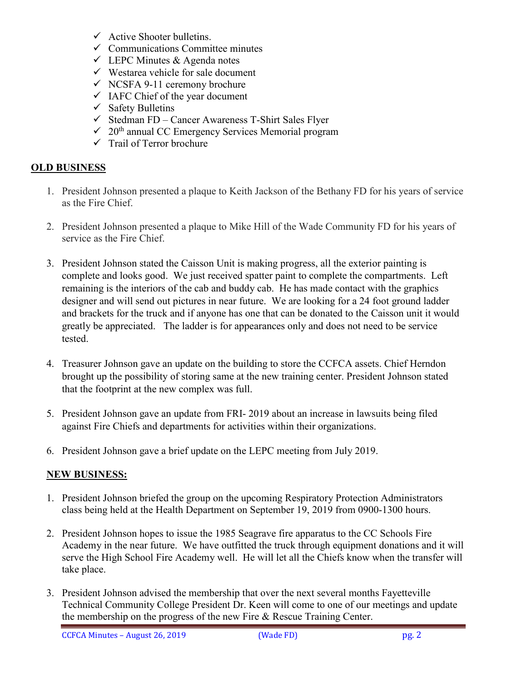- $\checkmark$  Active Shooter bulletins.
- $\checkmark$  Communications Committee minutes
- $\checkmark$  LEPC Minutes & Agenda notes
- $\checkmark$  Westarea vehicle for sale document
- $\checkmark$  NCSFA 9-11 ceremony brochure
- $\checkmark$  IAFC Chief of the year document
- $\checkmark$  Safety Bulletins
- $\checkmark$  Stedman FD Cancer Awareness T-Shirt Sales Flyer
- $\sim 20$ <sup>th</sup> annual CC Emergency Services Memorial program
- $\checkmark$  Trail of Terror brochure

#### **OLD BUSINESS**

- 1. President Johnson presented a plaque to Keith Jackson of the Bethany FD for his years of service as the Fire Chief.
- 2. President Johnson presented a plaque to Mike Hill of the Wade Community FD for his years of service as the Fire Chief.
- 3. President Johnson stated the Caisson Unit is making progress, all the exterior painting is complete and looks good. We just received spatter paint to complete the compartments. Left remaining is the interiors of the cab and buddy cab. He has made contact with the graphics designer and will send out pictures in near future. We are looking for a 24 foot ground ladder and brackets for the truck and if anyone has one that can be donated to the Caisson unit it would greatly be appreciated. The ladder is for appearances only and does not need to be service tested.
- 4. Treasurer Johnson gave an update on the building to store the CCFCA assets. Chief Herndon brought up the possibility of storing same at the new training center. President Johnson stated that the footprint at the new complex was full.
- 5. President Johnson gave an update from FRI- 2019 about an increase in lawsuits being filed against Fire Chiefs and departments for activities within their organizations.
- 6. President Johnson gave a brief update on the LEPC meeting from July 2019.

#### **NEW BUSINESS:**

- 1. President Johnson briefed the group on the upcoming Respiratory Protection Administrators class being held at the Health Department on September 19, 2019 from 0900-1300 hours.
- 2. President Johnson hopes to issue the 1985 Seagrave fire apparatus to the CC Schools Fire Academy in the near future. We have outfitted the truck through equipment donations and it will serve the High School Fire Academy well. He will let all the Chiefs know when the transfer will take place.
- 3. President Johnson advised the membership that over the next several months Fayetteville Technical Community College President Dr. Keen will come to one of our meetings and update the membership on the progress of the new Fire & Rescue Training Center.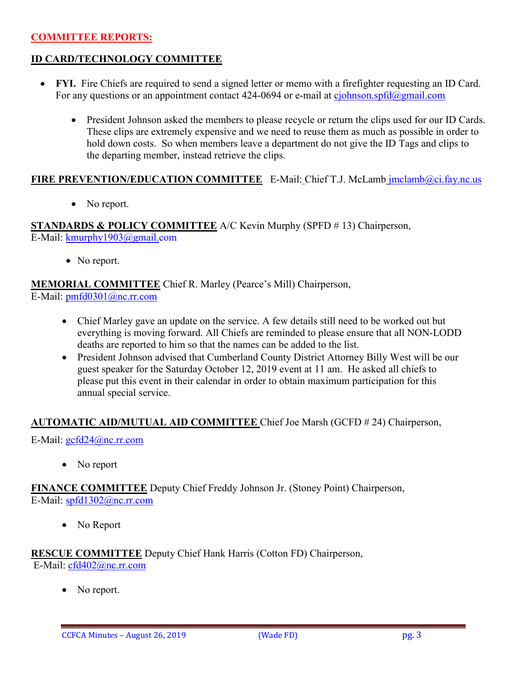### **COMMITTEE REPORTS:**

### **ID CARD/TECHNOLOGY COMMITTEE**

- **FYI.** Fire Chiefs are required to send a signed letter or memo with a firefighter requesting an ID Card. For any questions or an appointment contact 424-0694 or e-mail at [cjohnson.spfd@gmail.com](mailto:cjohnson.spfd@gmail.com)
	- President Johnson asked the members to please recycle or return the clips used for our ID Cards. These clips are extremely expensive and we need to reuse them as much as possible in order to hold down costs. So when members leave a department do not give the ID Tags and clips to the departing member, instead retrieve the clips.

### **FIRE PREVENTION/EDUCATION COMMITTEE** E-Mail: Chief T.J. McLamb [jmclamb@ci.fay.nc.us](mailto:jmclamb@ci.fay.nc.us)

• No report.

**STANDARDS & POLICY COMMITTEE** A/C Kevin Murphy (SPFD # 13) Chairperson, E-Mail: [kmurphy1903@gmail.com](mailto:kmurphy1903@gmail.com)

• No report.

**MEMORIAL COMMITTEE** Chief R. Marley (Pearce's Mill) Chairperson, E-Mail: [pmfd0301@nc.rr.com](mailto:pmfd0301@nc.rr.com)

- Chief Marley gave an update on the service. A few details still need to be worked out but everything is moving forward. All Chiefs are reminded to please ensure that all NON-LODD deaths are reported to him so that the names can be added to the list.
- President Johnson advised that Cumberland County District Attorney Billy West will be our guest speaker for the Saturday October 12, 2019 event at 11 am. He asked all chiefs to please put this event in their calendar in order to obtain maximum participation for this annual special service.

#### **AUTOMATIC AID/MUTUAL AID COMMITTEE** Chief Joe Marsh (GCFD # 24) Chairperson,

E-Mail: [gcfd24@nc.rr.com](mailto:gcfd24@nc.rr.com)

• No report

**FINANCE COMMITTEE** Deputy Chief Freddy Johnson Jr. (Stoney Point) Chairperson, E-Mail: [spfd1302@nc.rr.com](mailto:spfd1302@nc.rr.com)

• No Report

**RESCUE COMMITTEE** Deputy Chief Hank Harris (Cotton FD) Chairperson, E-Mail: [cfd402@nc.rr.com](mailto:cfd402@nc.rr.com)

• No report.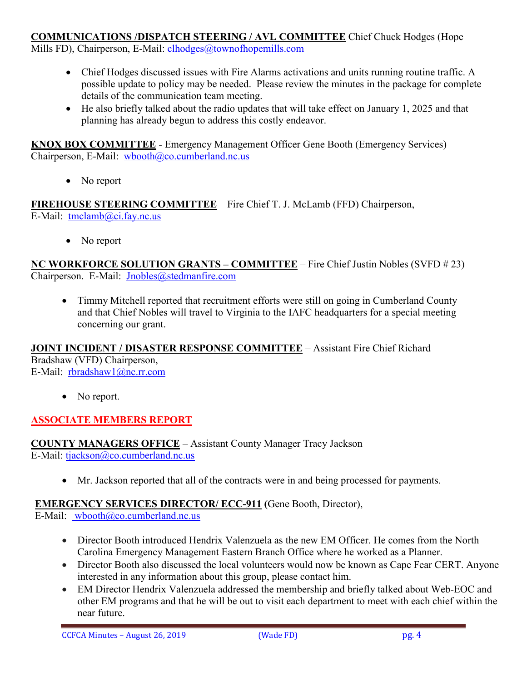# **COMMUNICATIONS /DISPATCH STEERING / AVL COMMITTEE** Chief Chuck Hodges (Hope

Mills FD), Chairperson, E-Mail: clhodges@townofhopemills.com

- Chief Hodges discussed issues with Fire Alarms activations and units running routine traffic. A possible update to policy may be needed. Please review the minutes in the package for complete details of the communication team meeting.
- He also briefly talked about the radio updates that will take effect on January 1, 2025 and that planning has already begun to address this costly endeavor.

**KNOX BOX COMMITTEE** - Emergency Management Officer Gene Booth (Emergency Services) Chairperson, E-Mail: [wbooth@co.cumberland.nc.us](mailto:wbooth@co.cumberland.nc.us)

• No report

**FIREHOUSE STEERING COMMITTEE** – Fire Chief T. J. McLamb (FFD) Chairperson, E-Mail: [tmclamb@ci.fay.nc.us](mailto:tmclamb@ci.fay.nc.us)

• No report

**NC WORKFORCE SOLUTION GRANTS – COMMITTEE** – Fire Chief Justin Nobles (SVFD # 23) Chairperson. E-Mail: [Jnobles@stedmanfire.com](mailto:Jnobles@stedmanfire.com)

• Timmy Mitchell reported that recruitment efforts were still on going in Cumberland County and that Chief Nobles will travel to Virginia to the IAFC headquarters for a special meeting concerning our grant.

**JOINT INCIDENT / DISASTER RESPONSE COMMITTEE** – Assistant Fire Chief Richard Bradshaw (VFD) Chairperson, E-Mail: [rbradshaw1@nc.rr.com](mailto:rbradshaw1@nc.rr.com)

• No report.

# **ASSOCIATE MEMBERS REPORT**

**COUNTY MANAGERS OFFICE** – Assistant County Manager Tracy Jackson E-Mail: [tjackson@co.cumberland.nc.us](mailto:tjackson@co.cumberland.nc.us)

• Mr. Jackson reported that all of the contracts were in and being processed for payments.

# **EMERGENCY SERVICES DIRECTOR/ ECC-911 (**Gene Booth, Director),

E-Mail: [wbooth@co.cumberland.nc.us](mailto:wbooth@co.cumberland.nc.us)

- Director Booth introduced Hendrix Valenzuela as the new EM Officer. He comes from the North Carolina Emergency Management Eastern Branch Office where he worked as a Planner.
- Director Booth also discussed the local volunteers would now be known as Cape Fear CERT. Anyone interested in any information about this group, please contact him.
- EM Director Hendrix Valenzuela addressed the membership and briefly talked about Web-EOC and other EM programs and that he will be out to visit each department to meet with each chief within the near future.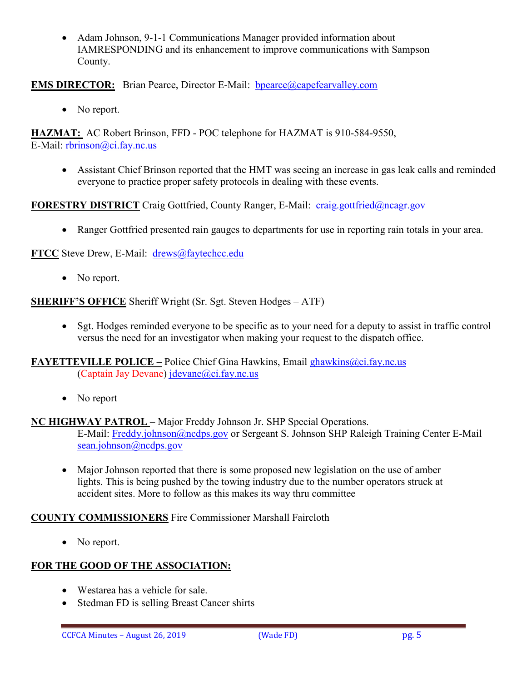• Adam Johnson, 9-1-1 Communications Manager provided information about IAMRESPONDING and its enhancement to improve communications with Sampson County.

## **EMS DIRECTOR:** Brian Pearce, Director E-Mail: bpearce@capefearvalley.com

• No report.

**HAZMAT:** AC Robert Brinson, FFD - POC telephone for HAZMAT is 910-584-9550, E-Mail: [rbrinson@ci.fay.nc.us](mailto:rbrinson@ci.fay.nc.us)

• Assistant Chief Brinson reported that the HMT was seeing an increase in gas leak calls and reminded everyone to practice proper safety protocols in dealing with these events.

**FORESTRY DISTRICT** Craig Gottfried, County Ranger, E-Mail: [craig.gottfried@ncagr.gov](mailto:craig.gottfried@ncagr.gov)

• Ranger Gottfried presented rain gauges to departments for use in reporting rain totals in your area.

**FTCC** Steve Drew, E-Mail: [drews@faytechcc.edu](mailto:drews@faytechcc.edu)

• No report.

**SHERIFF'S OFFICE** Sheriff Wright (Sr. Sgt. Steven Hodges – ATF)

• Sgt. Hodges reminded everyone to be specific as to your need for a deputy to assist in traffic control versus the need for an investigator when making your request to the dispatch office.

**FAYETTEVILLE POLICE –** Police Chief Gina Hawkins, Email [ghawkins@ci.fay.nc.us](mailto:ghawkins@ci.fay.nc.us)  (Captain Jay Devane) [jdevane@ci.fay.nc.us](mailto:jdevane@ci.fay.nc.us)

• No report

**NC HIGHWAY PATROL** – Major Freddy Johnson Jr. SHP Special Operations.

E-Mail: [Freddy.johnson@ncdps.gov](mailto:Freddy.johnson@ncdps.gov) or Sergeant S. Johnson SHP Raleigh Training Center E-Mail [sean.johnson@ncdps.gov](mailto:sean.johnson@ncdps.gov)

• Major Johnson reported that there is some proposed new legislation on the use of amber lights. This is being pushed by the towing industry due to the number operators struck at accident sites. More to follow as this makes its way thru committee

# **COUNTY COMMISSIONERS** Fire Commissioner Marshall Faircloth

• No report.

# **FOR THE GOOD OF THE ASSOCIATION:**

- Westarea has a vehicle for sale.
- Stedman FD is selling Breast Cancer shirts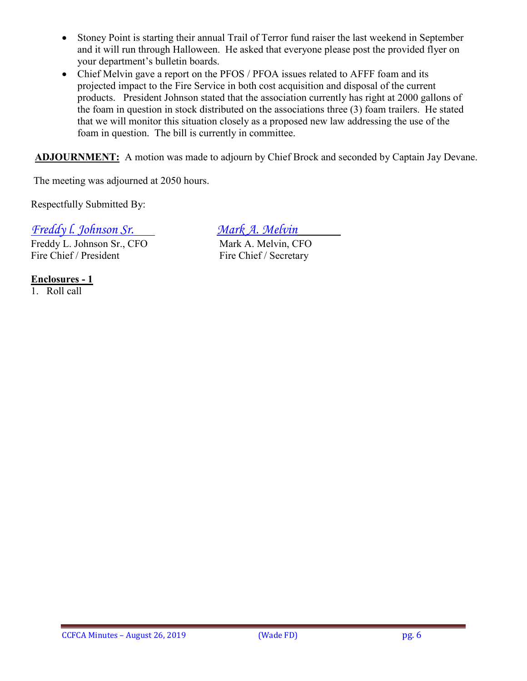- Stoney Point is starting their annual Trail of Terror fund raiser the last weekend in September and it will run through Halloween. He asked that everyone please post the provided flyer on your department's bulletin boards.
- Chief Melvin gave a report on the PFOS / PFOA issues related to AFFF foam and its projected impact to the Fire Service in both cost acquisition and disposal of the current products. President Johnson stated that the association currently has right at 2000 gallons of the foam in question in stock distributed on the associations three (3) foam trailers. He stated that we will monitor this situation closely as a proposed new law addressing the use of the foam in question. The bill is currently in committee.

**ADJOURNMENT:** A motion was made to adjourn by Chief Brock and seconded by Captain Jay Devane.

The meeting was adjourned at 2050 hours.

Respectfully Submitted By:

*Freddy l. Johnson Sr. Mark A. Melvin*

Freddy L. Johnson Sr., CFO Mark A. Melvin, CFO Fire Chief / President Fire Chief / Secretary

**Enclosures - 1**

1. Roll call